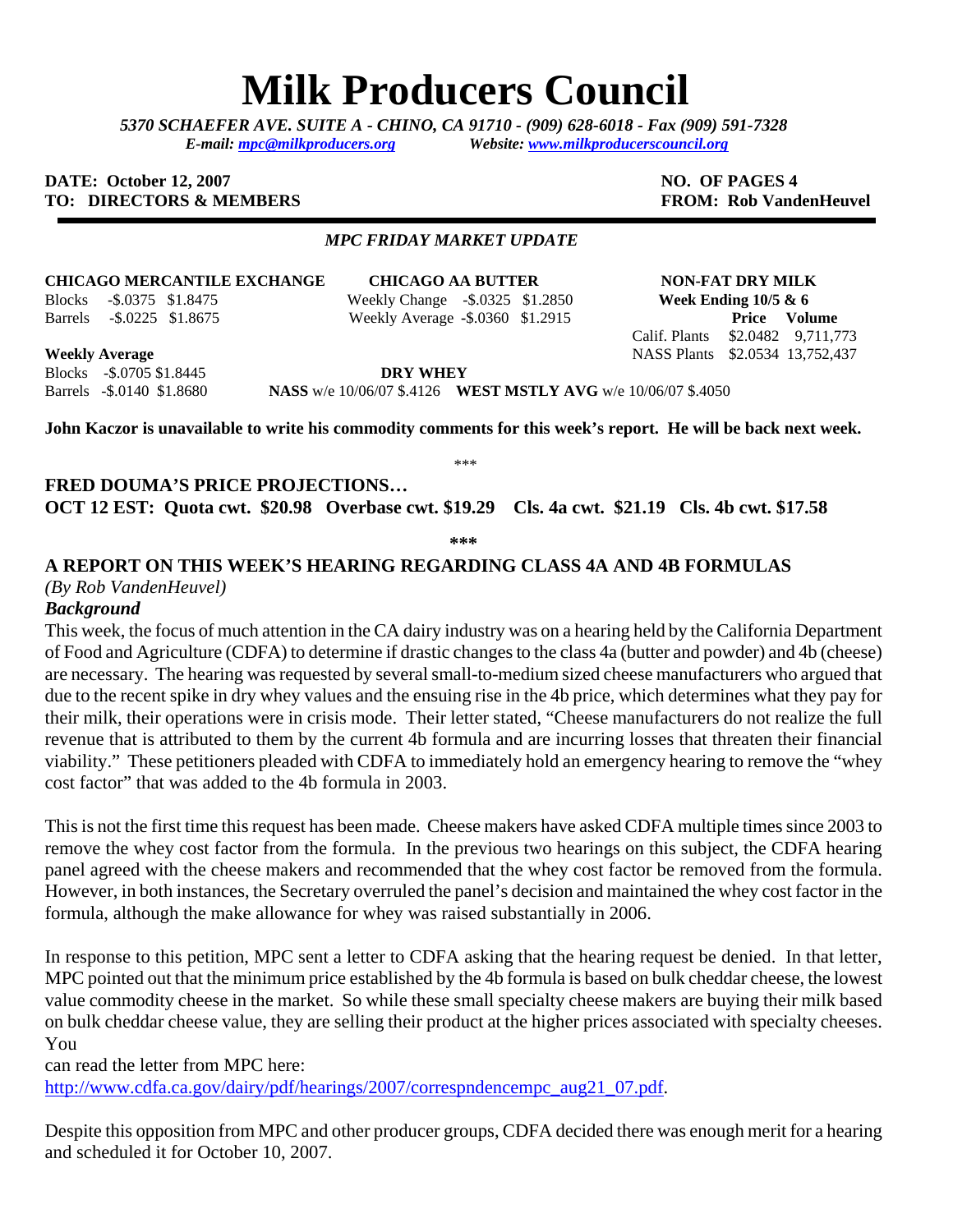# **Milk Producers Council**

*5370 SCHAEFER AVE. SUITE A* **-** *CHINO, CA 91710 - (909) 628-6018 - Fax (909) 591-7328 E-mail: [mpc@milkproducers.org](mailto:mpc@milkproducers.org) Website: [www.milkproducerscouncil.org](http://www.milkproducerscouncil.org/)* 

#### **DATE:** October 12, 2007 **NO. OF PAGES 4 TO: DIRECTORS & MEMBERS FROM: Rob VandenHeuvel**

#### *MPC FRIDAY MARKET UPDATE*

**CHICAGO MERCANTILE EXCHANGE CHICAGO AA BUTTER NON-FAT DRY MILK**  Blocks -\$.0375 \$1.8475 Weekly Change -\$.0325 \$1.2850 **Week Ending 10/5 & 6** 

Barrels -\$.0225 \$1.8675 Weekly Average **-**\$.0360 \$1.2915 **Price Volume** 

**Weekly Average** NASS Plants \$2.0534 13,752,437 Blocks -\$.0705 \$1.8445 **DRY WHEY** 

Barrels -\$.0140 \$1.8680 **NASS** w/e 10/06/07 \$.4126 **WEST MSTLY AVG** w/e 10/06/07 \$.4050

**John Kaczor is unavailable to write his commodity comments for this week's report. He will be back next week.** 

**FRED DOUMA'S PRICE PROJECTIONS… OCT 12 EST: Quota cwt. \$20.98 Overbase cwt. \$19.29 Cls. 4a cwt. \$21.19 Cls. 4b cwt. \$17.58** 

**\*\*\*** 

## **A REPORT ON THIS WEEK'S HEARING REGARDING CLASS 4A AND 4B FORMULAS**

#### *(By Rob VandenHeuvel)*

## *Background*

This week, the focus of much attention in the CA dairy industry was on a hearing held by the California Department of Food and Agriculture (CDFA) to determine if drastic changes to the class 4a (butter and powder) and 4b (cheese) are necessary. The hearing was requested by several small-to-medium sized cheese manufacturers who argued that due to the recent spike in dry whey values and the ensuing rise in the 4b price, which determines what they pay for their milk, their operations were in crisis mode. Their letter stated, "Cheese manufacturers do not realize the full revenue that is attributed to them by the current 4b formula and are incurring losses that threaten their financial viability." These petitioners pleaded with CDFA to immediately hold an emergency hearing to remove the "whey cost factor" that was added to the 4b formula in 2003.

This is not the first time this request has been made. Cheese makers have asked CDFA multiple times since 2003 to remove the whey cost factor from the formula. In the previous two hearings on this subject, the CDFA hearing panel agreed with the cheese makers and recommended that the whey cost factor be removed from the formula. However, in both instances, the Secretary overruled the panel's decision and maintained the whey cost factor in the formula, although the make allowance for whey was raised substantially in 2006.

In response to this petition, MPC sent a letter to CDFA asking that the hearing request be denied. In that letter, MPC pointed out that the minimum price established by the 4b formula is based on bulk cheddar cheese, the lowest value commodity cheese in the market. So while these small specialty cheese makers are buying their milk based on bulk cheddar cheese value, they are selling their product at the higher prices associated with specialty cheeses. You

can read the letter from MPC here:

[http://www.cdfa.ca.gov/dairy/pdf/hearings/2007/correspndencempc\\_aug21\\_07.pdf](http://www.cdfa.ca.gov/dairy/pdf/hearings/2007/correspndencempc_aug21_07.pdf).

Despite this opposition from MPC and other producer groups, CDFA decided there was enough merit for a hearing and scheduled it for October 10, 2007.

Calif. Plants \$2.0482 9,711,773

\*\*\*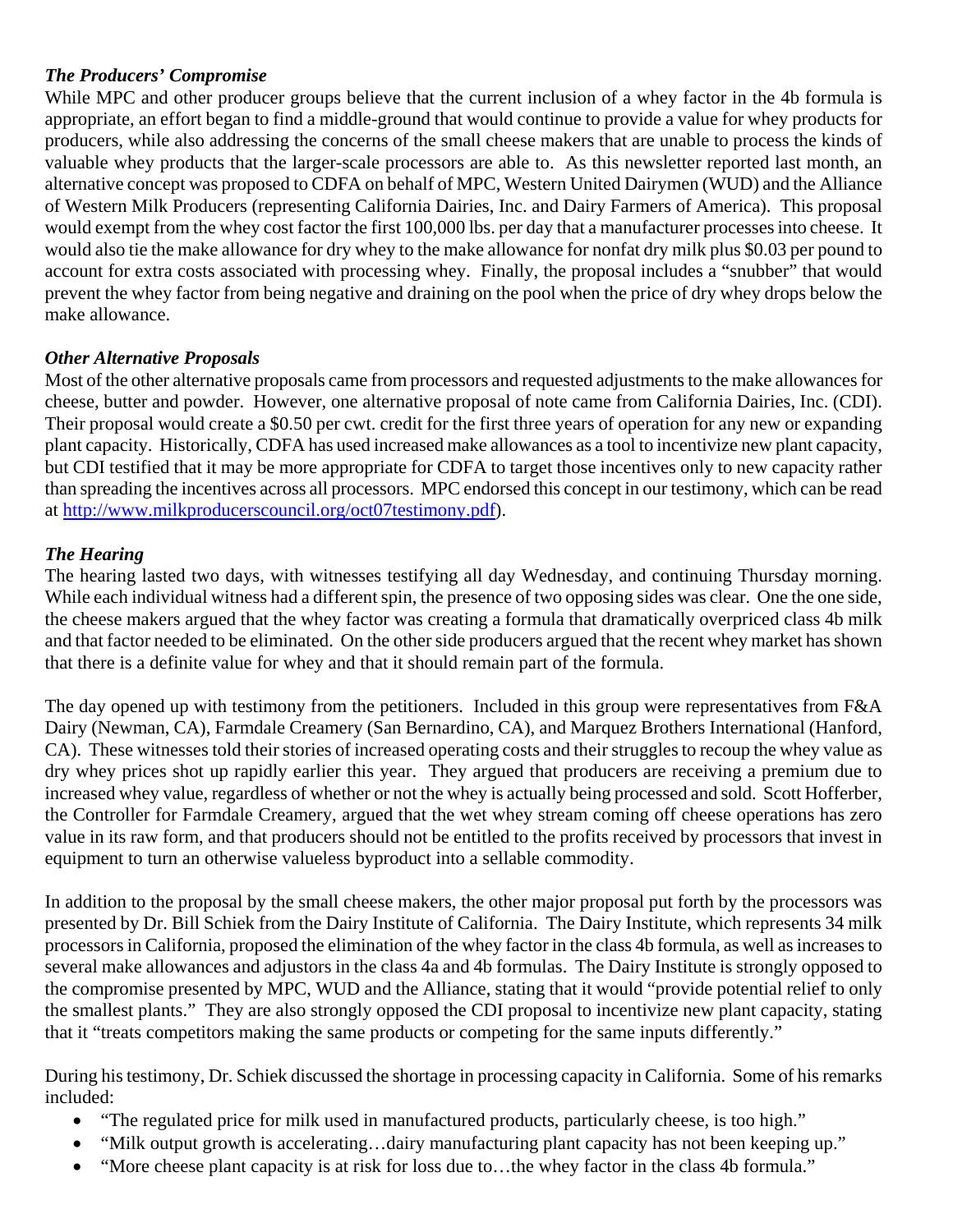# *The Producers' Compromise*

While MPC and other producer groups believe that the current inclusion of a whey factor in the 4b formula is appropriate, an effort began to find a middle-ground that would continue to provide a value for whey products for producers, while also addressing the concerns of the small cheese makers that are unable to process the kinds of valuable whey products that the larger-scale processors are able to. As this newsletter reported last month, an alternative concept was proposed to CDFA on behalf of MPC, Western United Dairymen (WUD) and the Alliance of Western Milk Producers (representing California Dairies, Inc. and Dairy Farmers of America). This proposal would exempt from the whey cost factor the first 100,000 lbs. per day that a manufacturer processes into cheese. It would also tie the make allowance for dry whey to the make allowance for nonfat dry milk plus \$0.03 per pound to account for extra costs associated with processing whey. Finally, the proposal includes a "snubber" that would prevent the whey factor from being negative and draining on the pool when the price of dry whey drops below the make allowance.

# *Other Alternative Proposals*

Most of the other alternative proposals came from processors and requested adjustments to the make allowances for cheese, butter and powder. However, one alternative proposal of note came from California Dairies, Inc. (CDI). Their proposal would create a \$0.50 per cwt. credit for the first three years of operation for any new or expanding plant capacity. Historically, CDFA has used increased make allowances as a tool to incentivize new plant capacity, but CDI testified that it may be more appropriate for CDFA to target those incentives only to new capacity rather than spreading the incentives across all processors. MPC endorsed this concept in our testimony, which can be read at<http://www.milkproducerscouncil.org/oct07testimony.pdf>).

# *The Hearing*

The hearing lasted two days, with witnesses testifying all day Wednesday, and continuing Thursday morning. While each individual witness had a different spin, the presence of two opposing sides was clear. One the one side, the cheese makers argued that the whey factor was creating a formula that dramatically overpriced class 4b milk and that factor needed to be eliminated. On the other side producers argued that the recent whey market has shown that there is a definite value for whey and that it should remain part of the formula.

The day opened up with testimony from the petitioners. Included in this group were representatives from F&A Dairy (Newman, CA), Farmdale Creamery (San Bernardino, CA), and Marquez Brothers International (Hanford, CA). These witnesses told their stories of increased operating costs and their struggles to recoup the whey value as dry whey prices shot up rapidly earlier this year. They argued that producers are receiving a premium due to increased whey value, regardless of whether or not the whey is actually being processed and sold. Scott Hofferber, the Controller for Farmdale Creamery, argued that the wet whey stream coming off cheese operations has zero value in its raw form, and that producers should not be entitled to the profits received by processors that invest in equipment to turn an otherwise valueless byproduct into a sellable commodity.

In addition to the proposal by the small cheese makers, the other major proposal put forth by the processors was presented by Dr. Bill Schiek from the Dairy Institute of California. The Dairy Institute, which represents 34 milk processors in California, proposed the elimination of the whey factor in the class 4b formula, as well as increases to several make allowances and adjustors in the class 4a and 4b formulas. The Dairy Institute is strongly opposed to the compromise presented by MPC, WUD and the Alliance, stating that it would "provide potential relief to only the smallest plants." They are also strongly opposed the CDI proposal to incentivize new plant capacity, stating that it "treats competitors making the same products or competing for the same inputs differently."

During his testimony, Dr. Schiek discussed the shortage in processing capacity in California. Some of his remarks included:

- "The regulated price for milk used in manufactured products, particularly cheese, is too high."
- "Milk output growth is accelerating...dairy manufacturing plant capacity has not been keeping up."
- "More cheese plant capacity is at risk for loss due to…the whey factor in the class 4b formula."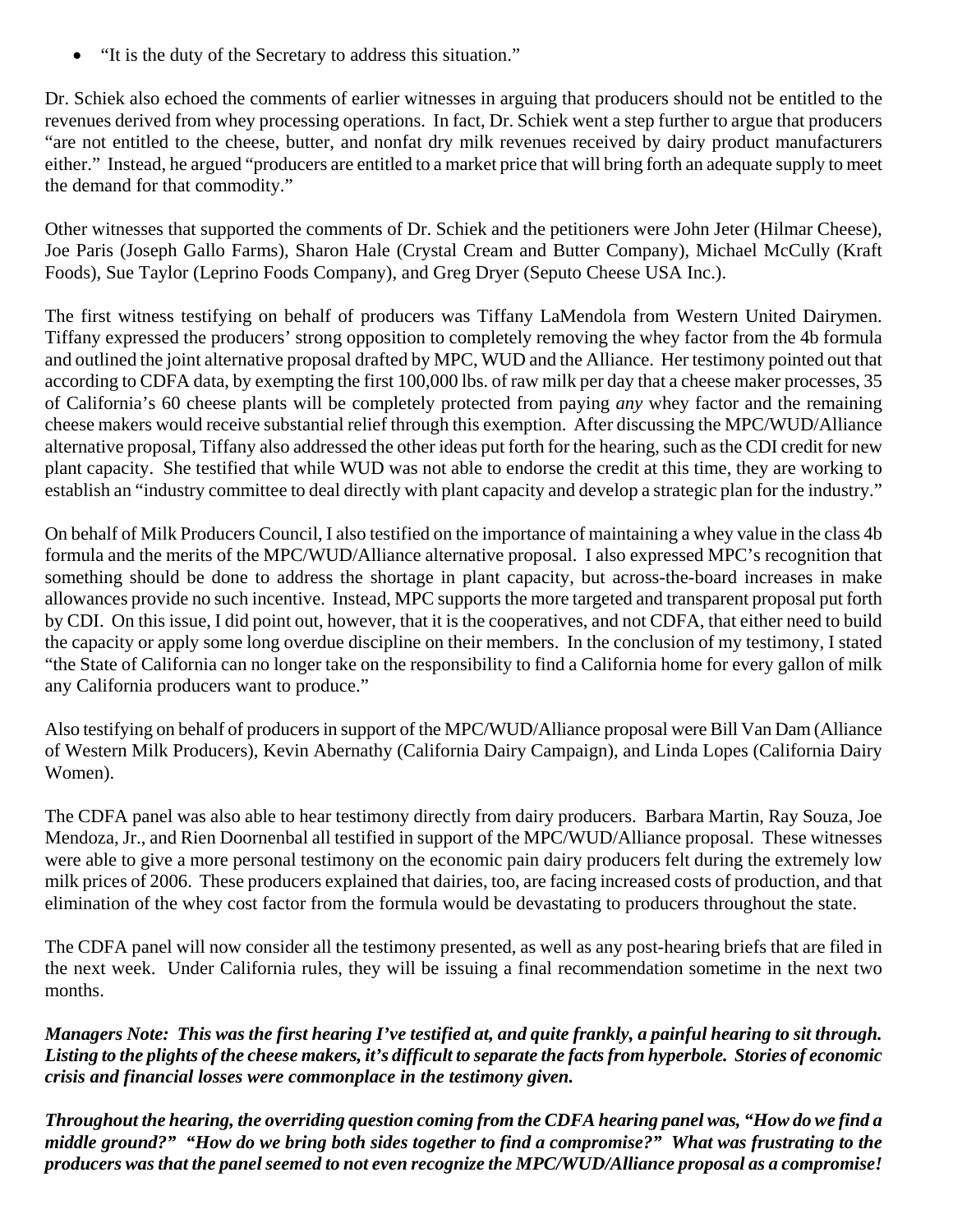• "It is the duty of the Secretary to address this situation."

Dr. Schiek also echoed the comments of earlier witnesses in arguing that producers should not be entitled to the revenues derived from whey processing operations. In fact, Dr. Schiek went a step further to argue that producers "are not entitled to the cheese, butter, and nonfat dry milk revenues received by dairy product manufacturers either." Instead, he argued "producers are entitled to a market price that will bring forth an adequate supply to meet the demand for that commodity."

Other witnesses that supported the comments of Dr. Schiek and the petitioners were John Jeter (Hilmar Cheese), Joe Paris (Joseph Gallo Farms), Sharon Hale (Crystal Cream and Butter Company), Michael McCully (Kraft Foods), Sue Taylor (Leprino Foods Company), and Greg Dryer (Seputo Cheese USA Inc.).

The first witness testifying on behalf of producers was Tiffany LaMendola from Western United Dairymen. Tiffany expressed the producers' strong opposition to completely removing the whey factor from the 4b formula and outlined the joint alternative proposal drafted by MPC, WUD and the Alliance. Her testimony pointed out that according to CDFA data, by exempting the first 100,000 lbs. of raw milk per day that a cheese maker processes, 35 of California's 60 cheese plants will be completely protected from paying *any* whey factor and the remaining cheese makers would receive substantial relief through this exemption. After discussing the MPC/WUD/Alliance alternative proposal, Tiffany also addressed the other ideas put forth for the hearing, such as the CDI credit for new plant capacity. She testified that while WUD was not able to endorse the credit at this time, they are working to establish an "industry committee to deal directly with plant capacity and develop a strategic plan for the industry."

On behalf of Milk Producers Council, I also testified on the importance of maintaining a whey value in the class 4b formula and the merits of the MPC/WUD/Alliance alternative proposal. I also expressed MPC's recognition that something should be done to address the shortage in plant capacity, but across-the-board increases in make allowances provide no such incentive. Instead, MPC supports the more targeted and transparent proposal put forth by CDI. On this issue, I did point out, however, that it is the cooperatives, and not CDFA, that either need to build the capacity or apply some long overdue discipline on their members. In the conclusion of my testimony, I stated "the State of California can no longer take on the responsibility to find a California home for every gallon of milk any California producers want to produce."

Also testifying on behalf of producers in support of the MPC/WUD/Alliance proposal were Bill Van Dam (Alliance of Western Milk Producers), Kevin Abernathy (California Dairy Campaign), and Linda Lopes (California Dairy Women).

The CDFA panel was also able to hear testimony directly from dairy producers. Barbara Martin, Ray Souza, Joe Mendoza, Jr., and Rien Doornenbal all testified in support of the MPC/WUD/Alliance proposal. These witnesses were able to give a more personal testimony on the economic pain dairy producers felt during the extremely low milk prices of 2006. These producers explained that dairies, too, are facing increased costs of production, and that elimination of the whey cost factor from the formula would be devastating to producers throughout the state.

The CDFA panel will now consider all the testimony presented, as well as any post-hearing briefs that are filed in the next week. Under California rules, they will be issuing a final recommendation sometime in the next two months.

*Managers Note: This was the first hearing I've testified at, and quite frankly, a painful hearing to sit through. Listing to the plights of the cheese makers, it's difficult to separate the facts from hyperbole. Stories of economic crisis and financial losses were commonplace in the testimony given.* 

*Throughout the hearing, the overriding question coming from the CDFA hearing panel was, "How do we find a middle ground?" "How do we bring both sides together to find a compromise?" What was frustrating to the producers was that the panel seemed to not even recognize the MPC/WUD/Alliance proposal as a compromise!*